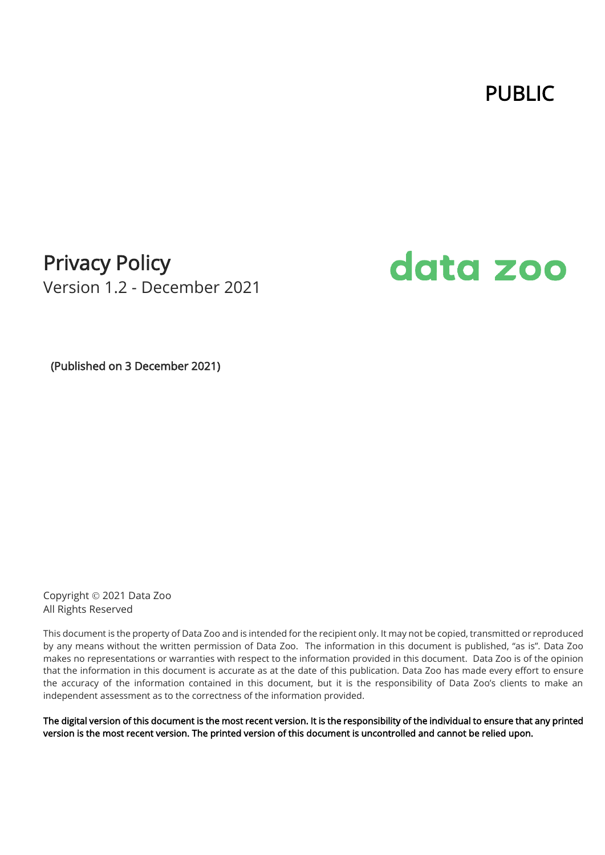PUBLIC

# Privacy Policy Version 1.2 - December 2021

# data zoo

(Published on 3 December 2021)

Copyright © 2021 Data Zoo All Rights Reserved

This document is the property of Data Zoo and is intended for the recipient only. It may not be copied, transmitted or reproduced by any means without the written permission of Data Zoo. The information in this document is published, "as is". Data Zoo makes no representations or warranties with respect to the information provided in this document. Data Zoo is of the opinion that the information in this document is accurate as at the date of this publication. Data Zoo has made every effort to ensure the accuracy of the information contained in this document, but it is the responsibility of Data Zoo's clients to make an independent assessment as to the correctness of the information provided.

The digital version of this document is the most recent version. It is the responsibility of the individual to ensure that any printed version is the most recent version. The printed version of this document is uncontrolled and cannot be relied upon.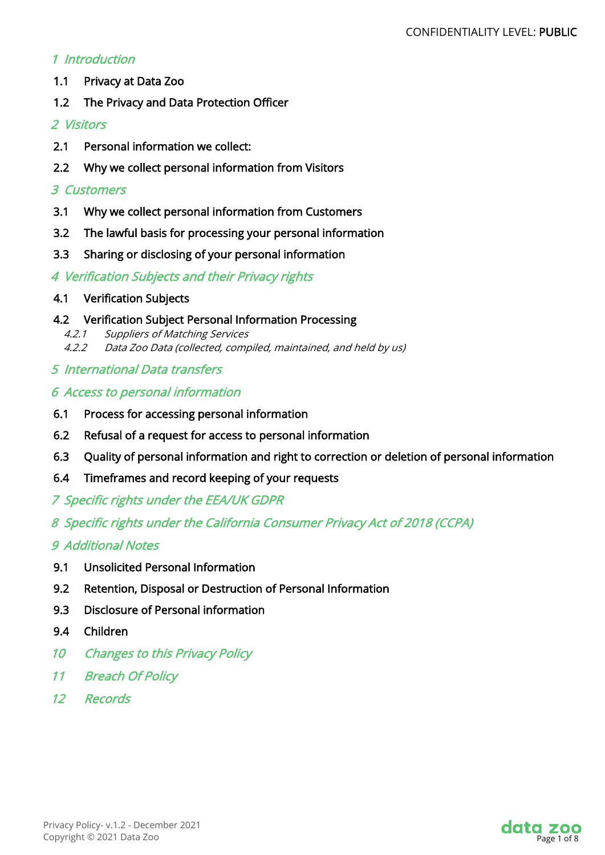# 1 [Introduction](#page-2-0)

- 1.1 [Privacy at Data Zoo](#page-2-1)
- 1.2 [The Privacy and Data Protection Officer](#page-2-2)

# 2 [Visitors](#page-3-0)

- 2.1 [Personal information we collect:](#page-3-1)
- 2.2 [Why we collect personal information from Visitors](#page-3-2)

# 3 [Customers](#page-3-3)

- 3.1 [Why we collect personal information from Customers](#page-4-0)
- 3.2 [The lawful basis for processing your personal information](#page-4-1)
- 3.3 [Sharing or disclosing of your personal information](#page-4-2)

# 4 [Verification Subjects and their Privacy rights](#page-4-3)

- 4.1 [Verification Subjects](#page-4-4)
- 4.2 [Verification Subject Personal Information Processing](#page-4-5)
	- 4.2.1 [Suppliers of Matching Services](#page-5-0)
	- 4.2.2 [Data Zoo Data \(collected, compiled, maintained, and held by us\)](#page-5-1)
- 5 [International Data transfers](#page-5-2)

# 6 [Access to personal information](#page-5-3)

- 6.1 [Process for accessing personal information](#page-5-4)
- 6.2 [Refusal of a request for access to personal information](#page-6-0)
- 6.3 [Quality of personal information and right to correction or deletion of personal information](#page-6-1)
- 6.4 [Timeframes and record keeping of your requests](#page-6-2)
- 7 [Specific rights under the EEA/UK GDPR](#page-7-0)
- 8 [Specific rights under the California Consumer Privacy Act of 2018 \(CCPA\)](#page-7-1)

# 9 [Additional Notes](#page-7-2)

- 9.1 [Unsolicited Personal Information](#page-7-3)
- 9.2 [Retention, Disposal or Destruction of Personal Information](#page-8-0)
- 9.3 [Disclosure of Personal information](#page-8-1)
- 9.4 [Children](#page-8-2)
- 10 [Changes to this Privacy Policy](#page-8-3)
- 11 **[Breach Of Policy](#page-8-4)**
- 12 [Records](#page-8-5)

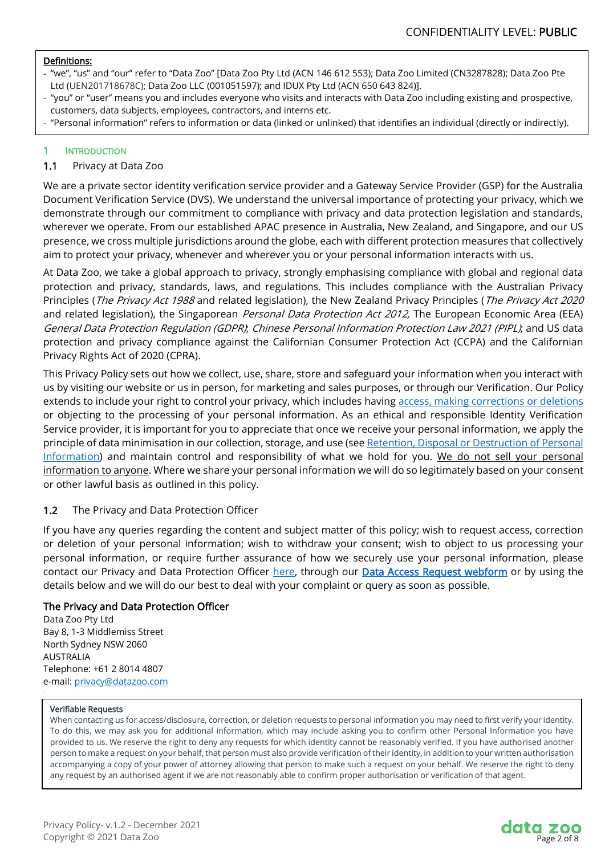#### Definitions:

- "we", "us" and "our" refer to "Data Zoo" [Data Zoo Pty Ltd (ACN 146 612 553); Data Zoo Limited (CN3287828); Data Zoo Pte Ltd (UEN201718678C); Data Zoo LLC (001051597); and IDUX Pty Ltd (ACN 650 643 824)].
- "you" or "user" means you and includes everyone who visits and interacts with Data Zoo including existing and prospective, customers, data subjects, employees, contractors, and interns etc.
- "Personal information" refers to information or data (linked or unlinked) that identifies an individual (directly or indirectly).

#### <span id="page-2-0"></span>1 INTRODUCTION

#### <span id="page-2-1"></span>1.1 Privacy at Data Zoo

We are a private sector identity verification service provider and a Gateway Service Provider (GSP) for the Australia Document Verification Service (DVS). We understand the universal importance of protecting your privacy, which we demonstrate through our commitment to compliance with privacy and data protection legislation and standards, wherever we operate. From our established APAC presence in Australia, New Zealand, and Singapore, and our US presence, we cross multiple jurisdictions around the globe, each with different protection measures that collectively aim to protect your privacy, whenever and wherever you or your personal information interacts with us.

At Data Zoo, we take a global approach to privacy, strongly emphasising compliance with global and regional data protection and privacy, standards, laws, and regulations. This includes compliance with the Australian Privacy Principles (The Privacy Act 1988 and related legislation), the New Zealand Privacy Principles (The Privacy Act 2020 and related legislation), the Singaporean *Personal Data Protection Act 2012*, The European Economic Area (EEA) General Data Protection Regulation (GDPR); Chinese Personal Information Protection Law 2021 (PIPL); and US data protection and privacy compliance against the Californian Consumer Protection Act (CCPA) and the Californian Privacy Rights Act of 2020 (CPRA).

This Privacy Policy sets out how we collect, use, share, store and safeguard your information when you interact with us by visiting our website or us in person, for marketing and sales purposes, or through our Verification. Our Policy extends to include your right to control your privacy, which includes having access, [making corrections](#page-5-3) or deletions or objecting to the processing of your personal information. As an ethical and responsible Identity Verification Service provider, it is important for you to appreciate that once we receive your personal information, we apply the principle of data minimisation in our collection, storage, and use (see [Retention, Disposal or Destruction of Personal](#page-8-0)  [Information\)](#page-8-0) and maintain control and responsibility of what we hold for you. We do not sell your personal information to anyone. Where we share your personal information we will do so legitimately based on your consent or other lawful basis as outlined in this policy.

#### <span id="page-2-2"></span>1.2 The Privacy and Data Protection Officer

If you have any queries regarding the content and subject matter of this policy; wish to request access, correction or deletion of your personal information; wish to withdraw your consent; wish to object to us processing your personal information, or require further assurance of how we securely use your personal information, please contact our Privacy and Data Protection Officer [here,](https://www.datazoo.com/contact/#grve-top-left-form-modal) through our [Data Access Request webform](https://www.datazoo.com/Data-Access-Request/) or by using the details below and we will do our best to deal with your complaint or query as soon as possible.

#### The Privacy and Data Protection Officer

Data Zoo Pty Ltd Bay 8, 1-3 Middlemiss Street North Sydney NSW 2060 AUSTRALIA Telephone: +61 2 8014 4807 e-mail: [privacy@datazoo.com](mailto:privacy@datazoo.com) .

#### Verifiable Requests

When contacting us for access/disclosure, correction, or deletion requests to personal information you may need to first verify your identity. To do this, we may ask you for additional information, which may include asking you to confirm other Personal Information you have provided to us. We reserve the right to deny any requests for which identity cannot be reasonably verified. If you have authorised another person to make a request on your behalf, that person must also provide verification of their identity, in addition to your written authorisation accompanying a copy of your power of attorney allowing that person to make such a request on your behalf. We reserve the right to deny any request by an authorised agent if we are not reasonably able to confirm proper authorisation or verification of that agent.

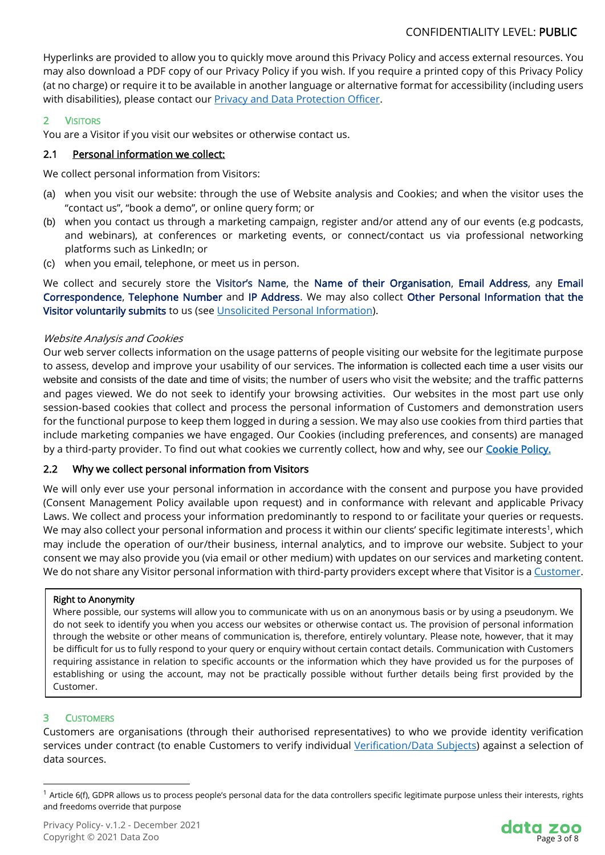Hyperlinks are provided to allow you to quickly move around this Privacy Policy and access external resources. You may also download a PDF copy of our Privacy Policy if you wish. If you require a printed copy of this Privacy Policy (at no charge) or require it to be available in another language or alternative format for accessibility (including users with disabilities), please contact our [Privacy and Data Protection Officer.](#page-2-2)

#### <span id="page-3-0"></span>2 VISITORS

You are a Visitor if you visit our websites or otherwise contact us.

#### <span id="page-3-1"></span>2.1 Personal information we collect:

We collect personal information from Visitors:

- (a) when you visit our website: through the use of Website analysis and Cookies; and when the visitor uses the "contact us", "book a demo", or online query form; or
- (b) when you contact us through a marketing campaign, register and/or attend any of our events (e.g podcasts, and webinars), at conferences or marketing events, or connect/contact us via professional networking platforms such as LinkedIn; or
- (c) when you email, telephone, or meet us in person.

We collect and securely store the Visitor's Name, the Name of their Organisation, Email Address, any Email Correspondence, Telephone Number and IP Address. We may also collect Other Personal Information that the Visitor voluntarily submits to us (see [Unsolicited Personal Information\)](#page-7-3).

#### Website Analysis and Cookies

Our web server collects information on the usage patterns of people visiting our website for the legitimate purpose to assess, develop and improve your usability of our services. The information is collected each time a user visits our website and consists of the date and time of visits; the number of users who visit the website; and the traffic patterns and pages viewed. We do not seek to identify your browsing activities. Our websites in the most part use only session-based cookies that collect and process the personal information of Customers and demonstration users for the functional purpose to keep them logged in during a session. We may also use cookies from third parties that include marketing companies we have engaged. Our Cookies (including preferences, and consents) are managed by a third-party provider. To find out what cookies we currently collect, how and why, see our **[Cookie Policy.](https://www.datazoo.com/wp-content/uploads/Cookie-Policy-v.1.1-November-2021.pdf)** 

#### <span id="page-3-2"></span>2.2 Why we collect personal information from Visitors

We will only ever use your personal information in accordance with the consent and purpose you have provided (Consent Management Policy available upon request) and in conformance with relevant and applicable Privacy Laws. We collect and process your information predominantly to respond to or facilitate your queries or requests. We may also collect your personal information and process it within our clients' specific legitimate interests<sup>1</sup>, which may include the operation of our/their business, internal analytics, and to improve our website. Subject to your consent we may also provide you (via email or other medium) with updates on our services and marketing content. We do not share any Visitor personal information with third-party providers except where that Visitor is [a Customer.](#page-3-3)

#### Right to Anonymity

Where possible, our systems will allow you to communicate with us on an anonymous basis or by using a pseudonym. We do not seek to identify you when you access our websites or otherwise contact us. The provision of personal information through the website or other means of communication is, therefore, entirely voluntary. Please note, however, that it may be difficult for us to fully respond to your query or enquiry without certain contact details. Communication with Customers requiring assistance in relation to specific accounts or the information which they have provided us for the purposes of establishing or using the account, may not be practically possible without further details being first provided by the Customer.

#### <span id="page-3-3"></span>3 CUSTOMERS

Customers are organisations (through their authorised representatives) to who we provide identity verification services under contract (to enable Customers to verify individual [Verification/Data](#page-4-3) Subjects) against a selection of data sources.



 $1$  Article 6(f), GDPR allows us to process people's personal data for the data controllers specific legitimate purpose unless their interests, rights and freedoms override that purpose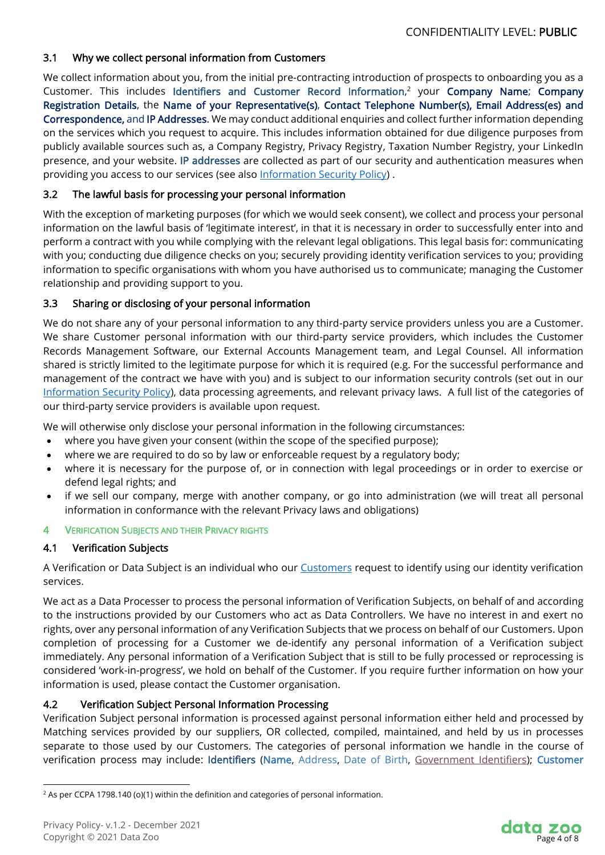#### <span id="page-4-0"></span>3.1 Why we collect personal information from Customers

We collect information about you, from the initial pre-contracting introduction of prospects to onboarding you as a Customer. This includes Identifiers and Customer Record Information, <sup>2</sup> your Company Name; Company Registration Details, the Name of your Representative(s), Contact Telephone Number(s), Email Address(es) and Correspondence, and IP Addresses. We may conduct additional enquiries and collect further information depending on the services which you request to acquire. This includes information obtained for due diligence purposes from publicly available sources such as, a Company Registry, Privacy Registry, Taxation Number Registry, your LinkedIn presence, and your website. IP addresses are collected as part of our security and authentication measures when providing you access to our services (see also [Information Security Policy\)](https://www.datazoo.com/wp-content/uploads/DZ-Information-Security-Policy_Aug-2021.pdf).

#### <span id="page-4-1"></span>3.2 The lawful basis for processing your personal information

With the exception of marketing purposes (for which we would seek consent), we collect and process your personal information on the lawful basis of 'legitimate interest', in that it is necessary in order to successfully enter into and perform a contract with you while complying with the relevant legal obligations. This legal basis for: communicating with you; conducting due diligence checks on you; securely providing identity verification services to you; providing information to specific organisations with whom you have authorised us to communicate; managing the Customer relationship and providing support to you.

#### <span id="page-4-2"></span>3.3 Sharing or disclosing of your personal information

We do not share any of your personal information to any third-party service providers unless you are a Customer. We share Customer personal information with our third-party service providers, which includes the Customer Records Management Software, our External Accounts Management team, and Legal Counsel. All information shared is strictly limited to the legitimate purpose for which it is required (e.g. For the successful performance and management of the contract we have with you) and is subject to our information security controls (set out in our [Information Security Policy\)](https://www.datazoo.com/wp-content/uploads/DZ-Information-Security-Policy_Aug-2021.pdf), data processing agreements, and relevant privacy laws. A full list of the categories of our third-party service providers is available upon request.

We will otherwise only disclose your personal information in the following circumstances:

- where you have given your consent (within the scope of the specified purpose);
- where we are required to do so by law or enforceable request by a regulatory body;
- where it is necessary for the purpose of, or in connection with legal proceedings or in order to exercise or defend legal rights; and
- if we sell our company, merge with another company, or go into administration (we will treat all personal information in conformance with the relevant Privacy laws and obligations)

#### <span id="page-4-3"></span>4 VERIFICATION SUBJECTS AND THEIR PRIVACY RIGHTS

#### <span id="page-4-4"></span>4.1 Verification Subjects

A Verification or Data Subject is an individual who our [Customers](#page-3-3) request to identify using our identity verification services.

We act as a Data Processer to process the personal information of Verification Subjects, on behalf of and according to the instructions provided by our Customers who act as Data Controllers. We have no interest in and exert no rights, over any personal information of any Verification Subjects that we process on behalf of our Customers. Upon completion of processing for a Customer we de-identify any personal information of a Verification subject immediately. Any personal information of a Verification Subject that is still to be fully processed or reprocessing is considered 'work-in-progress', we hold on behalf of the Customer. If you require further information on how your information is used, please contact the Customer organisation.

# <span id="page-4-5"></span>4.2 Verification Subject Personal Information Processing

Verification Subject personal information is processed against personal information either held and processed by Matching services provided by our suppliers, OR collected, compiled, maintained, and held by us in processes separate to those used by our Customers. The categories of personal information we handle in the course of verification process may include: Identifiers (Name, Address, Date of Birth, [Government Identifiers\)](#page-8-1); Customer



<sup>&</sup>lt;sup>2</sup> As per CCPA 1798.140 (o)(1) within the definition and categories of personal information.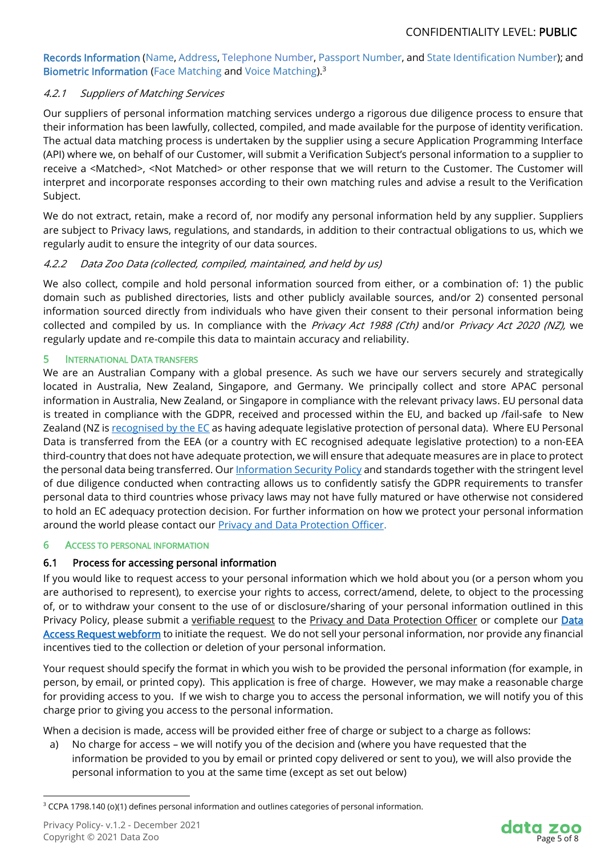Records Information (Name, Address, Telephone Number, Passport Number, and State Identification Number); and Biometric Information (Face Matching and Voice Matching).<sup>3</sup>

#### <span id="page-5-0"></span>4.2.1 Suppliers of Matching Services

Our suppliers of personal information matching services undergo a rigorous due diligence process to ensure that their information has been lawfully, collected, compiled, and made available for the purpose of identity verification. The actual data matching process is undertaken by the supplier using a secure Application Programming Interface (API) where we, on behalf of our Customer, will submit a Verification Subject's personal information to a supplier to receive a <Matched>, <Not Matched> or other response that we will return to the Customer. The Customer will interpret and incorporate responses according to their own matching rules and advise a result to the Verification Subject.

We do not extract, retain, make a record of, nor modify any personal information held by any supplier. Suppliers are subject to Privacy laws, regulations, and standards, in addition to their contractual obligations to us, which we regularly audit to ensure the integrity of our data sources.

#### <span id="page-5-1"></span>4.2.2 Data Zoo Data (collected, compiled, maintained, and held by us)

We also collect, compile and hold personal information sourced from either, or a combination of: 1) the public domain such as published directories, lists and other publicly available sources, and/or 2) consented personal information sourced directly from individuals who have given their consent to their personal information being collected and compiled by us. In compliance with the Privacy Act 1988 (Cth) and/or Privacy Act 2020 (NZ), we regularly update and re-compile this data to maintain accuracy and reliability.

#### <span id="page-5-2"></span>5 INTERNATIONAL DATA TRANSFERS

We are an Australian Company with a global presence. As such we have our servers securely and strategically located in Australia, New Zealand, Singapore, and Germany. We principally collect and store APAC personal information in Australia, New Zealand, or Singapore in compliance with the relevant privacy laws. EU personal data is treated in compliance with the GDPR, received and processed within the EU, and backed up /fail-safe to New Zealand (NZ is [recognised by the EC](https://eur-lex.europa.eu/legal-content/EN/TXT/PDF/?uri=CELEX:32013D0065&from=EN) as having adequate legislative protection of personal data). Where EU Personal Data is transferred from the EEA (or a country with EC recognised adequate legislative protection) to a non-EEA third-country that does not have adequate protection, we will ensure that adequate measures are in place to protect the personal data being transferred. Our [Information Security Policy](https://www.datazoo.com/wp-content/uploads/DZ-Information-Security-Policy_Aug-2021.pdf) and standards together with the stringent level of due diligence conducted when contracting allows us to confidently satisfy the GDPR requirements to transfer personal data to third countries whose privacy laws may not have fully matured or have otherwise not considered to hold an EC adequacy protection decision. For further information on how we protect your personal information around the world please contact our **Privacy and Data Protection Officer**.

#### <span id="page-5-3"></span>6 ACCESS TO PERSONAL INFORMATION

#### <span id="page-5-4"></span>6.1 Process for accessing personal information

If you would like to request access to your personal information which we hold about you (or a person whom you are authorised to represent), to exercise your rights to access, correct/amend, delete, to object to the processing of, or to withdraw your consent to the use of or disclosure/sharing of your personal information outlined in this Privacy Policy, please submit a [verifiable request](#page-2-2) to the [Privacy and Data Protection Officer](#page-2-2) or complete our Data [Access Request webform](https://www.datazoo.com/Data-Access-Request/) to initiate the request. We do not sell your personal information, nor provide any financial incentives tied to the collection or deletion of your personal information.

Your request should specify the format in which you wish to be provided the personal information (for example, in person, by email, or printed copy). This application is free of charge. However, we may make a reasonable charge for providing access to you. If we wish to charge you to access the personal information, we will notify you of this charge prior to giving you access to the personal information.

When a decision is made, access will be provided either free of charge or subject to a charge as follows:

a) No charge for access – we will notify you of the decision and (where you have requested that the information be provided to you by email or printed copy delivered or sent to you), we will also provide the personal information to you at the same time (except as set out below)



<sup>&</sup>lt;sup>3</sup> CCPA 1798.140 (o)(1) defines personal information and outlines categories of personal information.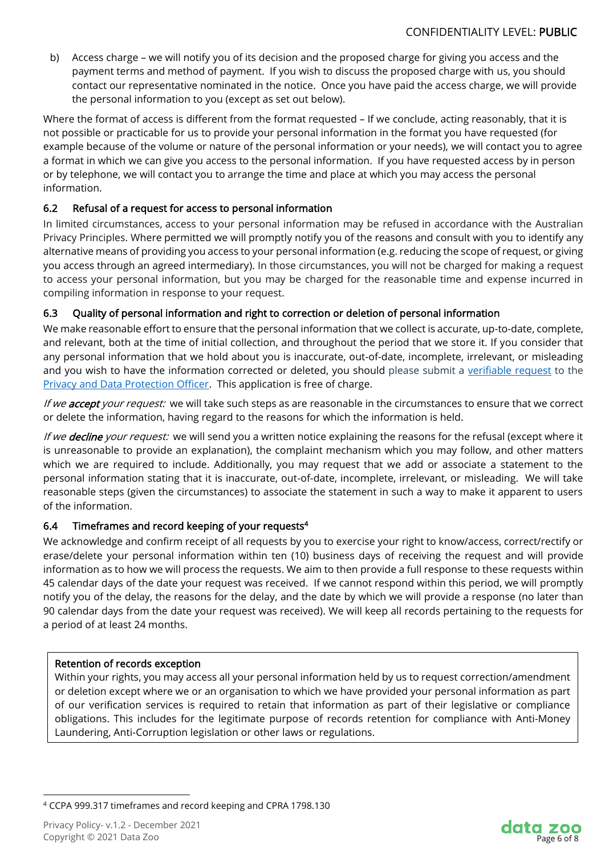b) Access charge – we will notify you of its decision and the proposed charge for giving you access and the payment terms and method of payment. If you wish to discuss the proposed charge with us, you should contact our representative nominated in the notice. Once you have paid the access charge, we will provide the personal information to you (except as set out below).

Where the format of access is different from the format requested – If we conclude, acting reasonably, that it is not possible or practicable for us to provide your personal information in the format you have requested (for example because of the volume or nature of the personal information or your needs), we will contact you to agree a format in which we can give you access to the personal information. If you have requested access by in person or by telephone, we will contact you to arrange the time and place at which you may access the personal information.

# <span id="page-6-0"></span>6.2 Refusal of a request for access to personal information

In limited circumstances, access to your personal information may be refused in accordance with the Australian Privacy Principles. Where permitted we will promptly notify you of the reasons and consult with you to identify any alternative means of providing you access to your personal information (e.g. reducing the scope of request, or giving you access through an agreed intermediary). In those circumstances, you will not be charged for making a request to access your personal information, but you may be charged for the reasonable time and expense incurred in compiling information in response to your request.

# <span id="page-6-1"></span>6.3 Quality of personal information and right to correction or deletion of personal information

We make reasonable effort to ensure that the personal information that we collect is accurate, up-to-date, complete, and relevant, both at the time of initial collection, and throughout the period that we store it. If you consider that any personal information that we hold about you is inaccurate, out-of-date, incomplete, irrelevant, or misleading and you wish to have the information corrected or deleted, you should please submit a [verifiable request](#page-2-2) to the [Privacy and Data Protection Officer.](#page-2-2) This application is free of charge.

If we **accept** your request: we will take such steps as are reasonable in the circumstances to ensure that we correct or delete the information, having regard to the reasons for which the information is held.

If we decline your request: we will send you a written notice explaining the reasons for the refusal (except where it is unreasonable to provide an explanation), the complaint mechanism which you may follow, and other matters which we are required to include. Additionally, you may request that we add or associate a statement to the personal information stating that it is inaccurate, out-of-date, incomplete, irrelevant, or misleading. We will take reasonable steps (given the circumstances) to associate the statement in such a way to make it apparent to users of the information.

# <span id="page-6-2"></span>6.4 Timeframes and record keeping of your requests<sup>4</sup>

We acknowledge and confirm receipt of all requests by you to exercise your right to know/access, correct/rectify or erase/delete your personal information within ten (10) business days of receiving the request and will provide information as to how we will process the requests. We aim to then provide a full response to these requests within 45 calendar days of the date your request was received. If we cannot respond within this period, we will promptly notify you of the delay, the reasons for the delay, and the date by which we will provide a response (no later than 90 calendar days from the date your request was received). We will keep all records pertaining to the requests for a period of at least 24 months.

#### Retention of records exception

Within your rights, you may access all your personal information held by us to request correction/amendment or deletion except where we or an organisation to which we have provided your personal information as part of our verification services is required to retain that information as part of their legislative or compliance obligations. This includes for the legitimate purpose of records retention for compliance with Anti-Money Laundering, Anti-Corruption legislation or other laws or regulations.



<sup>4</sup> CCPA 999.317 timeframes and record keeping and CPRA 1798.130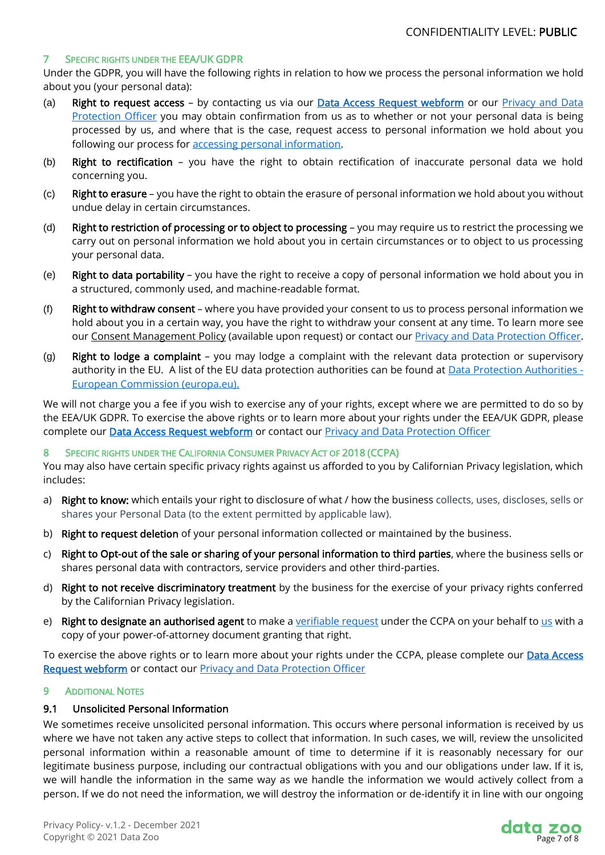#### <span id="page-7-0"></span>7 SPECIFIC RIGHTS UNDER THE EEA/UK GDPR

Under the GDPR, you will have the following rights in relation to how we process the personal information we hold about you (your personal data):

- (a) Right to request access by contacting us via our **[Data Access Request webform](https://www.datazoo.com/Data-Access-Request/)** or our **Privacy and Data** [Protection Officer](#page-2-2) you may obtain confirmation from us as to whether or not your personal data is being processed by us, and where that is the case, request access to personal information we hold about you following our process for accessing [personal information.](#page-5-2)
- (b) Right to rectification you have the right to obtain rectification of inaccurate personal data we hold concerning you.
- (c) Right to erasure you have the right to obtain the erasure of personal information we hold about you without undue delay in certain circumstances.
- (d) Right to restriction of processing or to object to processing you may require us to restrict the processing we carry out on personal information we hold about you in certain circumstances or to object to us processing your personal data.
- (e) Right to data portability you have the right to receive a copy of personal information we hold about you in a structured, commonly used, and machine-readable format.
- (f) Right to withdraw consent where you have provided your consent to us to process personal information we hold about you in a certain way, you have the right to withdraw your consent at any time. To learn more see our Consent Management Policy (available upon request) or contact our Privacy [and Data Protection](#page-2-2) Officer.
- (g) Right to lodge a complaint you may lodge a complaint with the relevant data protection or supervisory authority in the EU. A list of the EU data protection authorities can be found at [Data Protection Authorities -](https://ec.europa.eu/justice/article-29/structure/data-protection-authorities/index_en.htm) [European Commission \(europa.eu\).](https://ec.europa.eu/justice/article-29/structure/data-protection-authorities/index_en.htm)

We will not charge you a fee if you wish to exercise any of your rights, except where we are permitted to do so by the EEA/UK GDPR. To exercise the above rights or to learn more about your rights under the EEA/UK GDPR, please complete our **Data Access Request webform** or contact our **Privacy and Data Protection Officer** 

#### <span id="page-7-1"></span>8 SPECIFIC RIGHTS UNDER THE CALIFORNIA CONSUMER PRIVACY ACT OF 2018 (CCPA)

You may also have certain specific privacy rights against us afforded to you by Californian Privacy legislation, which includes:

- a) Right to know: which entails your right to disclosure of what / how the business collects, uses, discloses, sells or shares your Personal Data (to the extent permitted by applicable law).
- b) Right to request deletion of your personal information collected or maintained by the business.
- c) Right to Opt-out of the sale or sharing of your personal information to third parties, where the business sells or shares personal data with contractors, service providers and other third-parties.
- d) Right to not receive discriminatory treatment by the business for the exercise of your privacy rights conferred by the Californian Privacy legislation.
- e) Right to designate an authorised agent to make a [verifiable request](#page-2-2) under the CCPA on your behalf t[o us](#page-2-2) with a copy of your power-of-attorney document granting that right.

To exercise the above rights or to learn more about your rights under the CCPA, please complete our **Data Access** [Request webform](https://www.datazoo.com/Data-Access-Request/) or contact ou[r Privacy and Data Protection Officer](#page-2-2)

#### <span id="page-7-2"></span>**9** ADDITIONAL NOTES

#### <span id="page-7-3"></span>9.1 Unsolicited Personal Information

We sometimes receive unsolicited personal information. This occurs where personal information is received by us where we have not taken any active steps to collect that information. In such cases, we will, review the unsolicited personal information within a reasonable amount of time to determine if it is reasonably necessary for our legitimate business purpose, including our contractual obligations with you and our obligations under law. If it is, we will handle the information in the same way as we handle the information we would actively collect from a person. If we do not need the information, we will destroy the information or de-identify it in line with our ongoing